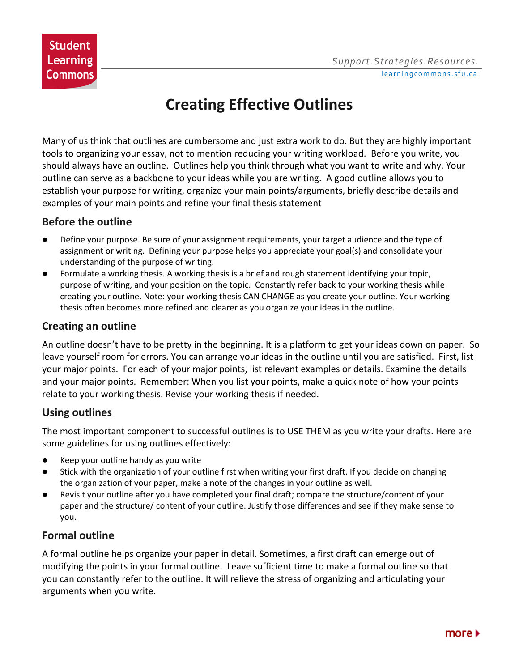# **Creating Effective Outlines**

Many of us think that outlines are cumbersome and just extra work to do. But they are highly important tools to organizing your essay, not to mention reducing your writing workload. Before you write, you should always have an outline. Outlines help you think through what you want to write and why. Your outline can serve as a backbone to your ideas while you are writing. A good outline allows you to establish your purpose for writing, organize your main points/arguments, briefly describe details and examples of your main points and refine your final thesis statement

#### **Before the outline**

- Define your purpose. Be sure of your assignment requirements, your target audience and the type of assignment or writing. Defining your purpose helps you appreciate your goal(s) and consolidate your understanding of the purpose of writing.
- Formulate a working thesis. A working thesis is a brief and rough statement identifying your topic, purpose of writing, and your position on the topic. Constantly refer back to your working thesis while creating your outline. Note: your working thesis CAN CHANGE as you create your outline. Your working thesis often becomes more refined and clearer as you organize your ideas in the outline.

# **Creating an outline**

An outline doesn't have to be pretty in the beginning. It is a platform to get your ideas down on paper. So leave yourself room for errors. You can arrange your ideas in the outline until you are satisfied. First, list your major points. For each of your major points, list relevant examples or details. Examine the details and your major points. Remember: When you list your points, make a quick note of how your points relate to your working thesis. Revise your working thesis if needed.

# **Using outlines**

The most important component to successful outlines is to USE THEM as you write your drafts. Here are some guidelines for using outlines effectively:

- Keep your outline handy as you write
- Stick with the organization of your outline first when writing your first draft. If you decide on changing the organization of your paper, make a note of the changes in your outline as well.
- Revisit your outline after you have completed your final draft; compare the structure/content of your paper and the structure/ content of your outline. Justify those differences and see if they make sense to you.

# **Formal outline**

A formal outline helps organize your paper in detail. Sometimes, a first draft can emerge out of modifying the points in your formal outline. Leave sufficient time to make a formal outline so that you can constantly refer to the outline. It will relieve the stress of organizing and articulating your arguments when you write.